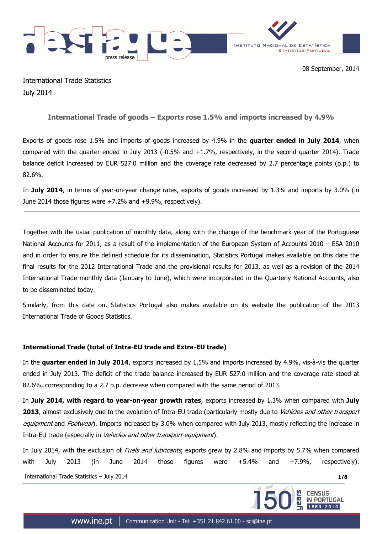



International Trade Statistics July 2014

# **International Trade of goods – Exports rose 1.5% and imports increased by 4.9%**

Exports of goods rose 1.5% and imports of goods increased by 4.9% in the **quarter ended in July 2014**, when compared with the quarter ended in July 2013 (-0.5% and  $+1.7%$ , respectively, in the second quarter 2014). Trade balance deficit increased by EUR 527.0 million and the coverage rate decreased by 2.7 percentage points (p.p.) to 82.6%.

In **July 2014**, in terms of year-on-year change rates, exports of goods increased by 1.3% and imports by 3.0% (in June 2014 those figures were +7.2% and +9.9%, respectively).

Together with the usual publication of monthly data, along with the change of the benchmark year of the Portuguese National Accounts for 2011, as a result of the implementation of the European System of Accounts 2010 – ESA 2010 and in order to ensure the defined schedule for its dissemination, Statistics Portugal makes available on this date the final results for the 2012 International Trade and the provisional results for 2013, as well as a revision of the 2014 International Trade monthly data (January to June), which were incorporated in the Quarterly National Accounts, also to be disseminated today.

Similarly, from this date on, Statistics Portugal also makes available on its website the publication of the 2013 International Trade of Goods Statistics.

## **International Trade (total of Intra-EU trade and Extra-EU trade)**

In the **quarter ended in July 2014**, exports increased by 1.5% and imports increased by 4.9%, vis-à-vis the quarter ended in July 2013. The deficit of the trade balance increased by EUR 527.0 million and the coverage rate stood at 82.6%, corresponding to a 2.7 p.p. decrease when compared with the same period of 2013.

In **July 2014, with regard to year-on-year growth rates**, exports increased by 1.3% when compared with **July 2013**, almost exclusively due to the evolution of Intra-EU trade (particularly mostly due to Vehicles and other transport equipment and Footwear). Imports increased by 3.0% when compared with July 2013, mostly reflecting the increase in Intra-EU trade (especially in Vehicles and other transport equipment).

In July 2014, with the exclusion of *Fuels and lubricants*, exports grew by 2.8% and imports by 5.7% when compared with July 2013 (in June 2014 those figures were +5.4% and +7.9%, respectively).

International Trade Statistics – July 2014 **1/8**

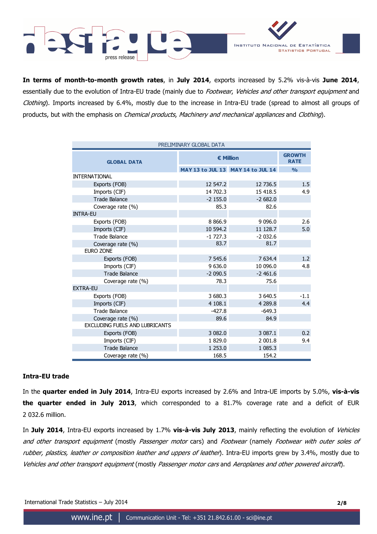

**In terms of month-to-month growth rates**, in **July 2014**, exports increased by 5.2% vis-à-vis **June 2014**, essentially due to the evolution of Intra-EU trade (mainly due to Footwear, Vehicles and other transport equipment and Clothing). Imports increased by 6.4%, mostly due to the increase in Intra-EU trade (spread to almost all groups of products, but with the emphasis on *Chemical products, Machinery and mechanical appliances* and *Clothing*).

| PRELIMINARY GLOBAL DATA        |            |                                   |               |  |  |  |  |  |  |
|--------------------------------|------------|-----------------------------------|---------------|--|--|--|--|--|--|
| <b>GLOBAL DATA</b>             | € Million  | <b>GROWTH</b><br><b>RATE</b>      |               |  |  |  |  |  |  |
|                                |            | MAY 13 to JUL 13 MAY 14 to JUL 14 | $\frac{0}{0}$ |  |  |  |  |  |  |
| <b>INTERNATIONAL</b>           |            |                                   |               |  |  |  |  |  |  |
| Exports (FOB)                  | 12 547.2   | 12 736.5                          | 1.5           |  |  |  |  |  |  |
| Imports (CIF)                  | 14 702.3   | 15 418.5                          | 4.9           |  |  |  |  |  |  |
| <b>Trade Balance</b>           | $-2$ 155.0 | $-2682.0$                         |               |  |  |  |  |  |  |
| Coverage rate (%)              | 85.3       | 82.6                              |               |  |  |  |  |  |  |
| <b>INTRA-EU</b>                |            |                                   |               |  |  |  |  |  |  |
| Exports (FOB)                  | 8 8 6 6.9  | 9 0 9 6.0                         | 2.6           |  |  |  |  |  |  |
| Imports (CIF)                  | 10 594.2   | 11 128.7                          | 5.0           |  |  |  |  |  |  |
| <b>Trade Balance</b>           | $-1727.3$  | $-2032.6$                         |               |  |  |  |  |  |  |
| Coverage rate (%)              | 83.7       | 81.7                              |               |  |  |  |  |  |  |
| <b>EURO ZONE</b>               |            |                                   |               |  |  |  |  |  |  |
| Exports (FOB)                  | 7 545.6    | 7 634.4                           | 1.2           |  |  |  |  |  |  |
| Imports (CIF)                  | 9 636.0    | 10 096.0                          | 4.8           |  |  |  |  |  |  |
| <b>Trade Balance</b>           | $-2090.5$  | $-2461.6$                         |               |  |  |  |  |  |  |
| Coverage rate (%)              | 78.3       | 75.6                              |               |  |  |  |  |  |  |
| <b>EXTRA-EU</b>                |            |                                   |               |  |  |  |  |  |  |
| Exports (FOB)                  | 3 680.3    | 3 640.5                           | $-1.1$        |  |  |  |  |  |  |
| Imports (CIF)                  | 4 108.1    | 4 2 8 9.8                         | 4.4           |  |  |  |  |  |  |
| <b>Trade Balance</b>           | $-427.8$   | $-649.3$                          |               |  |  |  |  |  |  |
| Coverage rate (%)              | 89.6       | 84.9                              |               |  |  |  |  |  |  |
| EXCLUDING FUELS AND LUBRICANTS |            |                                   |               |  |  |  |  |  |  |
| Exports (FOB)                  | 3 082.0    | 3 087.1                           | 0.2           |  |  |  |  |  |  |
| Imports (CIF)                  | 1829.0     | 2 001.8                           | 9.4           |  |  |  |  |  |  |
| Trade Balance                  | 1 253.0    | 1 085.3                           |               |  |  |  |  |  |  |
| Coverage rate (%)              | 168.5      | 154.2                             |               |  |  |  |  |  |  |

### **Intra-EU trade**

In the **quarter ended in July 2014**, Intra-EU exports increased by 2.6% and Intra-UE imports by 5.0%, **vis-à-vis the quarter ended in July 2013**, which corresponded to a 81.7% coverage rate and a deficit of EUR 2 032.6 million.

In **July 2014**, Intra-EU exports increased by 1.7% **vis-à-vis July 2013**, mainly reflecting the evolution of Vehicles and other transport equipment (mostly Passenger motor cars) and Footwear (namely Footwear with outer soles of rubber, plastics, leather or composition leather and uppers of leather). Intra-EU imports grew by 3.4%, mostly due to Vehicles and other transport equipment (mostly Passenger motor cars and Aeroplanes and other powered aircraft).

International Trade Statistics – July 2014 **2/8**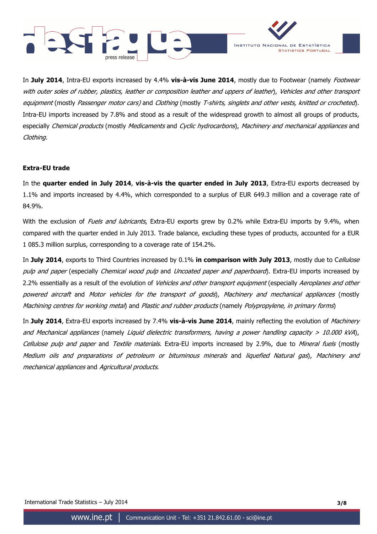



In **July 2014**, Intra-EU exports increased by 4.4% **vis-à-vis June 2014**, mostly due to Footwear (namely Footwear with outer soles of rubber, plastics, leather or composition leather and uppers of leather), Vehicles and other transport equipment (mostly Passenger motor cars) and Clothing (mostly T-shirts, singlets and other vests, knitted or crocheted). Intra-EU imports increased by 7.8% and stood as a result of the widespread growth to almost all groups of products, especially *Chemical products* (mostly *Medicaments* and *Cyclic hydrocarbons*), *Machinery and mechanical appliances* and Clothing.

### **Extra-EU trade**

In the **quarter ended in July 2014**, **vis-à-vis the quarter ended in July 2013**, Extra-EU exports decreased by 1.1% and imports increased by 4.4%, which corresponded to a surplus of EUR 649.3 million and a coverage rate of 84.9%.

With the exclusion of *Fuels and lubricants*, Extra-EU exports grew by 0.2% while Extra-EU imports by 9.4%, when compared with the quarter ended in July 2013. Trade balance, excluding these types of products, accounted for a EUR 1 085.3 million surplus, corresponding to a coverage rate of 154.2%.

In **July 2014**, exports to Third Countries increased by 0.1% **in comparison with July 2013**, mostly due to Cellulose pulp and paper (especially Chemical wood pulp and Uncoated paper and paperboard). Extra-EU imports increased by 2.2% essentially as a result of the evolution of Vehicles and other transport equipment (especially Aeroplanes and other powered aircraft and Motor vehicles for the transport of goods), Machinery and mechanical appliances (mostly Machining centres for working metal) and Plastic and rubber products (namely Polypropylene, in primary forms)

In **July 2014**, Extra-EU exports increased by 7.4% **vis-à-vis June 2014**, mainly reflecting the evolution of Machinery and Mechanical appliances (namely Liquid dielectric transformers, having a power handling capacity > 10.000 kVA), Cellulose pulp and paper and Textile materials. Extra-EU imports increased by 2.9%, due to Mineral fuels (mostly Medium oils and preparations of petroleum or bituminous minerals and liquefied Natural gas), Machinery and mechanical appliances and Agricultural products.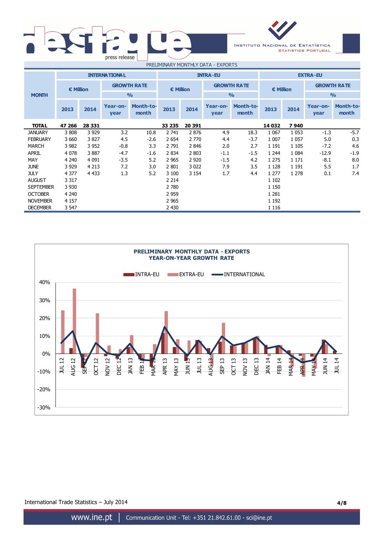| press release |                                                             |        |
|---------------|-------------------------------------------------------------|--------|
|               | $P(X, Y) = P(X, Y) + P(X, Y) + P(X, Y) + P(X, Y) + P(X, Y)$ | $\sim$ |



| PRELIMINARY MONTHLY DATA - EXPORTS |                      |         |                  |                           |           |         |                    |                           |           |         |                    |                           |
|------------------------------------|----------------------|---------|------------------|---------------------------|-----------|---------|--------------------|---------------------------|-----------|---------|--------------------|---------------------------|
|                                    | <b>INTERNATIONAL</b> |         |                  | <b>INTRA-EU</b>           |           |         |                    | <b>EXTRA-EU</b>           |           |         |                    |                           |
|                                    | € Million            |         |                  | <b>GROWTH RATE</b>        | € Million |         | <b>GROWTH RATE</b> |                           | € Million |         | <b>GROWTH RATE</b> |                           |
| <b>MONTH</b>                       |                      |         |                  | $\frac{0}{0}$             |           |         |                    | $\frac{0}{0}$             |           |         |                    | $\frac{9}{0}$             |
|                                    | 2013                 | 2014    | Year-on-<br>year | <b>Month-to-</b><br>month | 2013      | 2014    | Year-on-<br>year   | <b>Month-to-</b><br>month | 2013      | 2014    | Year-on-<br>year   | <b>Month-to-</b><br>month |
| <b>TOTAL</b>                       | 47 266               | 28 331  |                  |                           | 33 235    | 20 391  |                    |                           | 14 032    | 7940    |                    |                           |
| <b>JANUARY</b>                     | 3808                 | 3 9 29  | 3.2              | 10.8                      | 2 741     | 2876    | 4.9                | 18.3                      | 1 0 6 7   | 1 0 5 3 | $-1.3$             | $-5.7$                    |
| <b>FEBRUARY</b>                    | 3 6 6 0              | 3827    | 4.5              | $-2.6$                    | 2 6 5 4   | 2 7 7 0 | 4.4                | $-3.7$                    | 1 0 0 7   | 1 0 5 7 | 5.0                | 0.3                       |
| <b>MARCH</b>                       | 3 9 8 2              | 3 9 5 2 | $-0.8$           | 3.3                       | 2 7 9 1   | 2846    | 2.0                | 2.7                       | 1 1 9 1   | 1 1 0 5 | $-7.2$             | 4.6                       |
| <b>APRIL</b>                       | 4 0 7 8              | 3887    | $-4.7$           | $-1.6$                    | 2 8 3 4   | 2 8 0 3 | $-1.1$             | $-1.5$                    | 1 2 4 4   | 1 0 8 4 | $-12.9$            | $-1.9$                    |
| MAY                                | 4 2 4 0              | 4 0 9 1 | $-3.5$           | 5.2                       | 2 9 6 5   | 2 9 2 0 | $-1.5$             | 4.2                       | 1 2 7 5   | 1 1 7 1 | $-8.1$             | 8.0                       |
| <b>JUNE</b>                        | 3 9 2 9              | 4 2 1 3 | 7.2              | 3.0                       | 2 801     | 3 0 2 2 | 7.9                | 3.5                       | 1 1 2 8   | 1 1 9 1 | 5.5                | 1.7                       |
| <b>JULY</b>                        | 4 3 7 7              | 4 4 3 3 | 1.3              | 5.2                       | 3 100     | 3 1 5 4 | 1.7                | 4.4                       | 1 277     | 1 2 7 8 | 0.1                | 7.4                       |
| <b>AUGUST</b>                      | 3 3 1 7              |         |                  |                           | 2 2 1 4   |         |                    |                           | 1 1 0 2   |         |                    |                           |
| <b>SEPTEMBER</b>                   | 3 9 3 0              |         |                  |                           | 2 780     |         |                    |                           | 1 1 5 0   |         |                    |                           |
| <b>OCTOBER</b>                     | 4 2 4 0              |         |                  |                           | 2 9 5 9   |         |                    |                           | 1 2 8 1   |         |                    |                           |
| <b>NOVEMBER</b>                    | 4 1 5 7              |         |                  |                           | 2 9 6 5   |         |                    |                           | 1 1 9 2   |         |                    |                           |
| <b>DECEMBER</b>                    | 3 5 4 7              |         |                  |                           | 2 4 3 0   |         |                    |                           | 1 1 1 6   |         |                    |                           |



International Trade Statistics – July 2014 **4/8**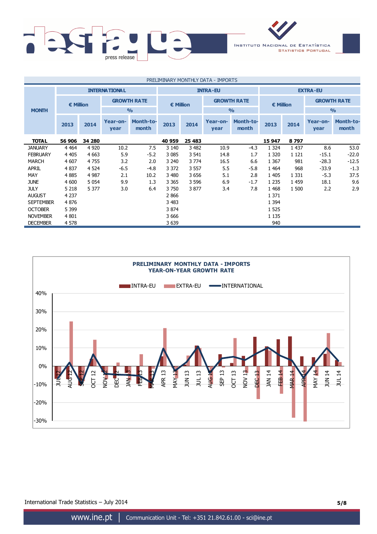

| PRELIMINARY MONTHLY DATA - IMPORTS |                      |         |                  |                           |                    |         |                                     |                           |                    |         |                    |                           |
|------------------------------------|----------------------|---------|------------------|---------------------------|--------------------|---------|-------------------------------------|---------------------------|--------------------|---------|--------------------|---------------------------|
|                                    | <b>INTERNATIONAL</b> |         |                  |                           | <b>INTRA-EU</b>    |         |                                     |                           | <b>EXTRA-EU</b>    |         |                    |                           |
|                                    | <b>€ Million</b>     |         |                  | <b>GROWTH RATE</b>        | $\epsilon$ Million |         | <b>GROWTH RATE</b><br>$\frac{0}{0}$ |                           | $\epsilon$ Million |         | <b>GROWTH RATE</b> |                           |
| <b>MONTH</b>                       |                      |         |                  | $\frac{0}{0}$             |                    |         |                                     |                           |                    |         | $\frac{9}{0}$      |                           |
|                                    | 2013                 | 2014    | Year-on-<br>year | <b>Month-to-</b><br>month | 2013               | 2014    | Year-on-<br>year                    | <b>Month-to-</b><br>month | 2013               | 2014    | Year-on-<br>year   | <b>Month-to-</b><br>month |
| <b>TOTAL</b>                       | 56 906               | 34 280  |                  |                           | 40 959             | 25 4 83 |                                     |                           | 15 947             | 8797    |                    |                           |
| <b>JANUARY</b>                     | 4 4 6 4              | 4 9 20  | 10.2             | 7.5                       | 3 1 4 0            | 3 4 8 2 | 10.9                                | $-4.3$                    | 1 3 2 4            | 1 4 3 7 | 8.6                | 53.0                      |
| <b>FEBRUARY</b>                    | 4 4 0 5              | 4 6 63  | 5.9              | $-5.2$                    | 3 0 8 5            | 3 5 4 1 | 14.8                                | 1.7                       | 1 3 2 0            | 1 1 2 1 | $-15.1$            | $-22.0$                   |
| <b>MARCH</b>                       | 4 607                | 4755    | 3.2              | 2.0                       | 3 2 4 0            | 3774    | 16.5                                | 6.6                       | 1 3 6 7            | 981     | $-28.3$            | $-12.5$                   |
| <b>APRIL</b>                       | 4837                 | 4 5 24  | $-6.5$           | $-4.8$                    | 3 3 7 2            | 3 5 5 7 | 5.5                                 | $-5.8$                    | 1 4 6 4            | 968     | $-33.9$            | $-1.3$                    |
| MAY                                | 4885                 | 4 9 8 7 | 2.1              | 10.2                      | 3 4 8 0            | 3656    | 5.1                                 | 2.8                       | 1 4 0 5            | 1 3 3 1 | $-5.3$             | 37.5                      |
| <b>JUNE</b>                        | 4 600                | 5 0 5 4 | 9.9              | 1.3                       | 3 3 6 5            | 3 5 9 6 | 6.9                                 | $-1.7$                    | 1 2 3 5            | 1 4 5 9 | 18.1               | 9.6                       |
| <b>JULY</b>                        | 5 2 1 8              | 5 3 7 7 | 3.0              | 6.4                       | 3750               | 3877    | 3.4                                 | 7.8                       | 1 4 6 8            | 1 500   | 2.2                | 2.9                       |
| <b>AUGUST</b>                      | 4 2 3 7              |         |                  |                           | 2866               |         |                                     |                           | 1 3 7 1            |         |                    |                           |
| <b>SEPTEMBER</b>                   | 4876                 |         |                  |                           | 3 4 8 3            |         |                                     |                           | 1 3 9 4            |         |                    |                           |
| <b>OCTOBER</b>                     | 5 3 9 9              |         |                  |                           | 3 8 7 4            |         |                                     |                           | 1 5 2 5            |         |                    |                           |
| <b>NOVEMBER</b>                    | 4 8 0 1              |         |                  |                           | 3 6 6 6            |         |                                     |                           | 1 1 3 5            |         |                    |                           |
| <b>DECEMBER</b>                    | 4 5 7 8              |         |                  |                           | 3 6 3 9            |         |                                     |                           | 940                |         |                    |                           |



International Trade Statistics – July 2014 **5/8**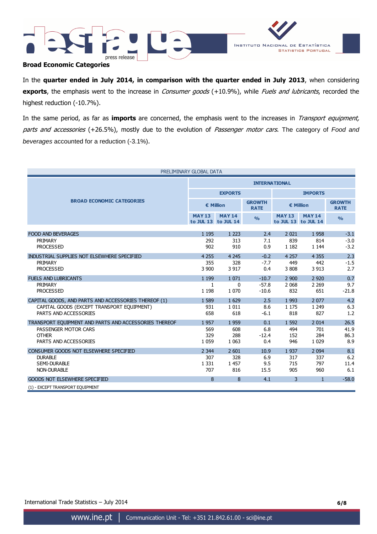



### **Broad Economic Categories**

In the **quarter ended in July 2014, in comparison with the quarter ended in July 2013**, when considering **exports**, the emphasis went to the increase in *Consumer goods* (+10.9%), while *Fuels and lubricants*, recorded the highest reduction (-10.7%).

In the same period, as far as **imports** are concerned, the emphasis went to the increases in Transport equipment, parts and accessories (+26.5%), mostly due to the evolution of Passenger motor cars. The category of Food and beverages accounted for a reduction (-3.1%).

| PRELIMINARY GLOBAL DATA                               |                      |                                      |                              |                |                                      |                              |  |  |  |
|-------------------------------------------------------|----------------------|--------------------------------------|------------------------------|----------------|--------------------------------------|------------------------------|--|--|--|
|                                                       | <b>INTERNATIONAL</b> |                                      |                              |                |                                      |                              |  |  |  |
|                                                       |                      | <b>EXPORTS</b>                       |                              | <b>IMPORTS</b> |                                      |                              |  |  |  |
| <b>BROAD ECONOMIC CATEGORIES</b>                      | € Million            |                                      | <b>GROWTH</b><br><b>RATE</b> |                | € Million                            | <b>GROWTH</b><br><b>RATE</b> |  |  |  |
|                                                       | <b>MAY 13</b>        | <b>MAY 14</b><br>to JUL 13 to JUL 14 | O/2                          | <b>MAY 13</b>  | <b>MAY 14</b><br>to JUL 13 to JUL 14 | $\frac{0}{0}$                |  |  |  |
|                                                       |                      |                                      |                              |                |                                      |                              |  |  |  |
| <b>FOOD AND BEVERAGES</b><br>PRIMARY                  | 1 1 9 5<br>292       | 1 2 2 3<br>313                       | 2.4<br>7.1                   | 2 0 2 1<br>839 | 1958<br>814                          | $-3.1$<br>$-3.0$             |  |  |  |
| <b>PROCESSED</b>                                      | 902                  | 910                                  | 0.9                          | 1 1 8 2        | 1 1 4 4                              | $-3.2$                       |  |  |  |
|                                                       |                      |                                      |                              |                |                                      |                              |  |  |  |
| INDUSTRIAL SUPPLIES NOT ELSEWHERE SPECIFIED           | 4 2 5 5              | 4 2 4 5                              | $-0.2$                       | 4 2 5 7        | 4 3 5 5                              | 2.3                          |  |  |  |
| PRIMARY                                               | 355                  | 328                                  | $-7.7$                       | 449            | 442                                  | $-1.5$                       |  |  |  |
| <b>PROCESSED</b>                                      | 3 9 0 0              | 3 9 1 7                              | 0.4                          | 3 8 0 8        | 3 9 1 3                              | 2.7                          |  |  |  |
| <b>FUELS AND LUBRICANTS</b>                           | 1 1 9 9              | 1 0 7 1                              | $-10.7$                      | 2 900          | 2 9 2 0                              | 0.7                          |  |  |  |
| PRIMARY                                               | 1                    | 0                                    | $-57.8$                      | 2 0 6 8        | 2 2 6 9                              | 9.7                          |  |  |  |
| <b>PROCESSED</b>                                      | 1 1 9 8              | 1 0 7 0                              | $-10.6$                      | 832            | 651                                  | $-21.8$                      |  |  |  |
| CAPITAL GOODS, AND PARTS AND ACCESSORIES THEREOF (1)  | 1 5 8 9              | 1 6 2 9                              | 2.5                          | 1 9 9 3        | 2 0 7 7                              | 4.2                          |  |  |  |
| CAPITAL GOODS (EXCEPT TRANSPORT EQUIPMENT)            | 931                  | 1 0 1 1                              | 8.6                          | 1 1 7 5        | 1 2 4 9                              | 6.3                          |  |  |  |
| PARTS AND ACCESSORIES                                 | 658                  | 618                                  | $-6.1$                       | 818            | 827                                  | 1.2                          |  |  |  |
| TRANSPORT EOUIPMENT AND PARTS AND ACCESSORIES THEREOF | 1957                 | 1 9 5 9                              | 0.1                          | 1 5 9 2        | 2 0 1 4                              | 26.5                         |  |  |  |
| PASSENGER MOTOR CARS                                  | 569                  | 608                                  | 6.8                          | 494            | 701                                  | 41.9                         |  |  |  |
| <b>OTHER</b>                                          | 329                  | 288                                  | $-12.4$                      | 152            | 284                                  | 86.3                         |  |  |  |
| PARTS AND ACCESSORIES                                 | 1 0 5 9              | 1 0 6 3                              | 0.4                          | 946            | 1 0 2 9                              | 8.9                          |  |  |  |
| CONSUMER GOODS NOT ELSEWHERE SPECIFIED                | 2 3 4 4              | 2 601                                | 10.9                         | 1937           | 2 0 9 4                              | 8.1                          |  |  |  |
| <b>DURABLE</b>                                        | 307                  | 328                                  | 6.9                          | 317            | 337                                  | 6.2                          |  |  |  |
| <b>SEMI-DURABLE</b>                                   | 1 3 3 1              | 1 4 5 7                              | 9.5                          | 715            | 797                                  | 11.4                         |  |  |  |
| <b>NON-DURABLE</b>                                    | 707                  | 816                                  | 15.5                         | 905            | 960                                  | 6.1                          |  |  |  |
| <b>GOODS NOT ELSEWHERE SPECIFIED</b>                  | 8                    | 8                                    | 4.1                          | 3              | $\mathbf{1}$                         | $-58.0$                      |  |  |  |
| (1) - EXCEPT TRANSPORT EQUIPMENT                      |                      |                                      |                              |                |                                      |                              |  |  |  |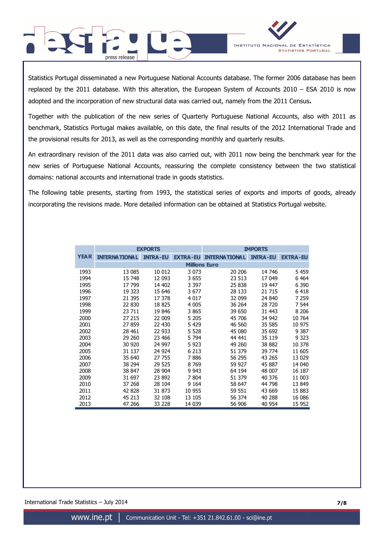

Statistics Portugal disseminated a new Portuguese National Accounts database. The former 2006 database has been replaced by the 2011 database. With this alteration, the European System of Accounts 2010 – ESA 2010 is now adopted and the incorporation of new structural data was carried out, namely from the 2011 Census**.**

press release

Together with the publication of the new series of Quarterly Portuguese National Accounts, also with 2011 as benchmark, Statistics Portugal makes available, on this date, the final results of the 2012 International Trade and the provisional results for 2013, as well as the corresponding monthly and quarterly results.

An extraordinary revision of the 2011 data was also carried out, with 2011 now being the benchmark year for the new series of Portuguese National Accounts, reassuring the complete consistency between the two statistical domains: national accounts and international trade in goods statistics.

The following table presents, starting from 1993, the statistical series of exports and imports of goods, already incorporating the revisions made. More detailed information can be obtained at Statistics Portugal website.

|             |                      | <b>EXPORTS</b>  |                      | <b>IMPORTS</b>       |                 |                 |  |  |
|-------------|----------------------|-----------------|----------------------|----------------------|-----------------|-----------------|--|--|
| <b>YEAR</b> | <b>INTERNATIONAL</b> | <b>INTRA-EU</b> | <b>EXTRA-EU</b>      | <b>INTERNATIONAL</b> | <b>INTRA-EU</b> | <b>EXTRA-EU</b> |  |  |
|             |                      |                 | <b>Millions Euro</b> |                      |                 |                 |  |  |
| 1993        | 13 085               | 10 012          | 3 0 7 3              | 20 20 6              | 14 746          | 5 4 5 9         |  |  |
| 1994        | 15 748               | 12 093          | 3655                 | 23 513               | 17 049          | 6 4 6 4         |  |  |
| 1995        | 17 799               | 14 402          | 3 397                | 25 838               | 19 447          | 6 3 9 0         |  |  |
| 1996        | 19 323               | 15 646          | 3677                 | 28 133               | 21 715          | 6418            |  |  |
| 1997        | 21 3 95              | 17 378          | 4 0 1 7              | 32 099               | 24 840          | 7 2 5 9         |  |  |
| 1998        | 22 830               | 18825           | 4 0 0 5              | 36 264               | 28 720          | 7 5 4 4         |  |  |
| 1999        | 23 711               | 19 846          | 3865                 | 39 650               | 31 443          | 8 2 0 6         |  |  |
| 2000        | 27 215               | 22 009          | 5 2 0 5              | 45 706               | 34 942          | 10 764          |  |  |
| 2001        | 27 859               | 22 430          | 5 4 2 9              | 46 560               | 35 585          | 10 975          |  |  |
| 2002        | 28 4 61              | 22 933          | 5 5 28               | 45 080               | 35 692          | 9 3 8 7         |  |  |
| 2003        | 29 260               | 23 466          | 5 7 9 4              | 44 441               | 35 119          | 9 3 2 3         |  |  |
| 2004        | 30 9 20              | 24 997          | 5923                 | 49 260               | 38 882          | 10 378          |  |  |
| 2005        | 31 137               | 24 924          | 6 2 1 3              | 51 379               | 39 774          | 11 605          |  |  |
| 2006        | 35 640               | 27 755          | 7886                 | 56 295               | 43 265          | 13 0 29         |  |  |
| 2007        | 38 294               | 29 525          | 8769                 | 59 927               | 45 887          | 14 040          |  |  |
| 2008        | 38 847               | 28 904          | 9 9 43               | 64 194               | 48 007          | 16 187          |  |  |
| 2009        | 31 697               | 23 892          | 7804                 | 51 379               | 40 376          | 11 003          |  |  |
| 2010        | 37 268               | 28 104          | 9 1 64               | 58 647               | 44 798          | 13 849          |  |  |
| 2011        | 42 828               | 31 873          | 10 955               | 59 551               | 43 669          | 15 883          |  |  |
| 2012        | 45 213               | 32 108          | 13 105               | 56 374               | 40 288          | 16 086          |  |  |
| 2013        | 47 266               | 33 228          | 14 039               | 56 906               | 40 954          | 15 952          |  |  |

International Trade Statistics – July 2014 **7/8**